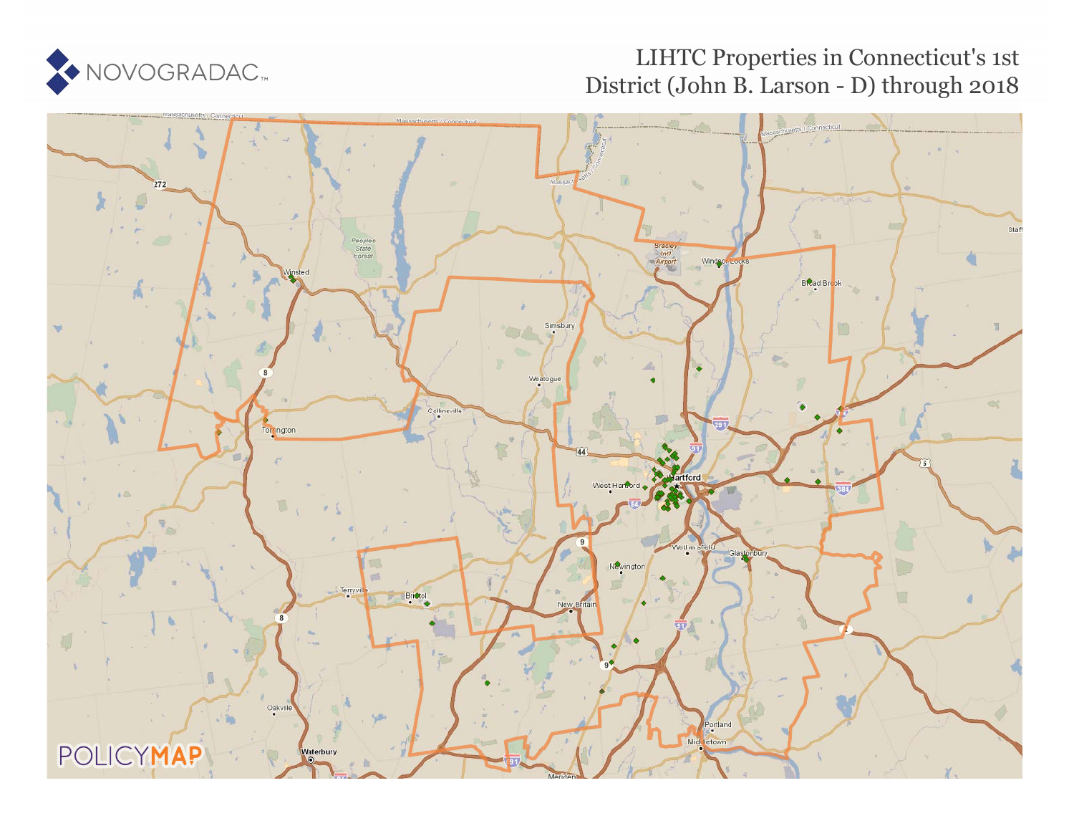

# LIHTC Properties in Connecticut's 1st District (John B. Larson - D) through 2018

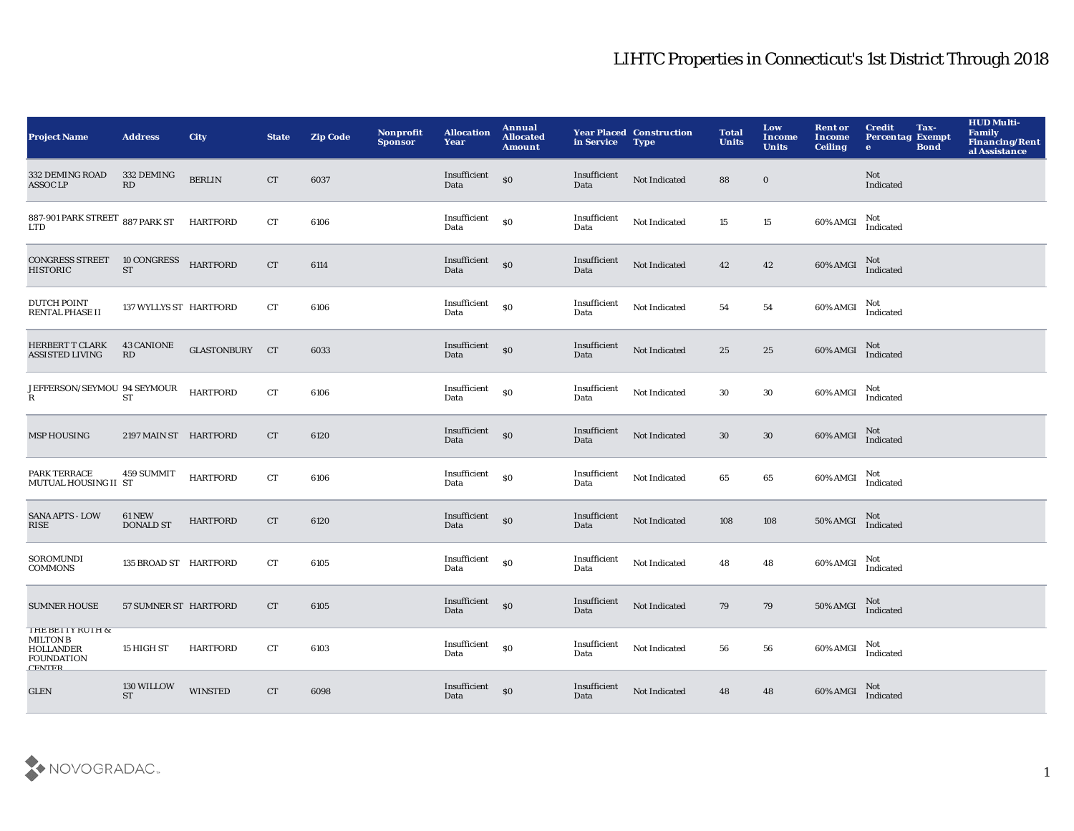| <b>Project Name</b>                                                                           | <b>Address</b>                    | <b>City</b>     | <b>State</b>       | <b>Zip Code</b> | Nonprofit<br><b>Sponsor</b> | <b>Allocation</b><br>Year          | Annual<br><b>Allocated</b><br><b>Amount</b> | in Service           | <b>Year Placed Construction</b><br><b>Type</b> | <b>Total</b><br><b>Units</b> | Low<br>Income<br><b>Units</b> | <b>Rent or</b><br><b>Income</b><br><b>Ceiling</b> | <b>Credit</b><br><b>Percentag Exempt</b><br>e. | Tax-<br><b>Bond</b> | <b>HUD Multi-</b><br>Family<br>Financing/Rent<br>al Assistance |
|-----------------------------------------------------------------------------------------------|-----------------------------------|-----------------|--------------------|-----------------|-----------------------------|------------------------------------|---------------------------------------------|----------------------|------------------------------------------------|------------------------------|-------------------------------|---------------------------------------------------|------------------------------------------------|---------------------|----------------------------------------------------------------|
| 332 DEMING ROAD<br><b>ASSOC LP</b>                                                            | 332 DEMING<br>RD                  | <b>BERLIN</b>   | CT                 | 6037            |                             | Insufficient<br>Data               | \$0                                         | Insufficient<br>Data | Not Indicated                                  | 88                           | $\bf{0}$                      |                                                   | Not<br>Indicated                               |                     |                                                                |
| 887-901 PARK STREET 887 PARK ST<br><b>LTD</b>                                                 |                                   | <b>HARTFORD</b> | ${\cal C}{\cal T}$ | 6106            |                             | Insufficient<br>Data               | S <sub>0</sub>                              | Insufficient<br>Data | Not Indicated                                  | 15                           | $15\,$                        | 60% AMGI                                          | Not<br>Indicated                               |                     |                                                                |
| <b>CONGRESS STREET</b><br><b>HISTORIC</b>                                                     | 10 CONGRESS<br>${\cal S}{\cal T}$ | <b>HARTFORD</b> | CT                 | 6114            |                             | Insufficient<br>Data               | $\boldsymbol{\mathsf{S}}$                   | Insufficient<br>Data | Not Indicated                                  | 42                           | $\bf 42$                      | 60% AMGI Not<br>Indicated                         |                                                |                     |                                                                |
| <b>DUTCH POINT</b><br><b>RENTAL PHASE II</b>                                                  | 137 WYLLYS ST HARTFORD            |                 | CT                 | 6106            |                             | Insufficient<br>Data               | $\$0$                                       | Insufficient<br>Data | Not Indicated                                  | 54                           | 54                            | 60% AMGI                                          | Not<br>Indicated                               |                     |                                                                |
| <b>HERBERT T CLARK</b><br>ASSISTED LIVING                                                     | <b>43 CANIONE</b><br>RD           | GLASTONBURY CT  |                    | 6033            |                             | Insufficient<br>Data               | \$0                                         | Insufficient<br>Data | Not Indicated                                  | 25                           | 25                            | 60% AMGI                                          | Not<br>Indicated                               |                     |                                                                |
| JEFFERSON/SEYMOU 94 SEYMOUR<br>$\mathbf R$                                                    | ST                                | <b>HARTFORD</b> | CT                 | 6106            |                             | Insufficient<br>Data               | \$0                                         | Insufficient<br>Data | Not Indicated                                  | 30                           | 30                            | 60% AMGI                                          | Not<br>Indicated                               |                     |                                                                |
| <b>MSP HOUSING</b>                                                                            | 2197 MAIN ST HARTFORD             |                 | CT                 | 6120            |                             | Insufficient<br>Data               | \$0                                         | Insufficient<br>Data | Not Indicated                                  | 30                           | 30                            | 60% AMGI                                          | Not<br>Indicated                               |                     |                                                                |
| PARK TERRACE<br>MUTUAL HOUSING II ST                                                          | 459 SUMMIT                        | <b>HARTFORD</b> | ${\rm CT}$         | 6106            |                             | Insufficient<br>Data               | \$0                                         | Insufficient<br>Data | Not Indicated                                  | 65                           | 65                            | 60% AMGI                                          | Not<br>Indicated                               |                     |                                                                |
| <b>SANA APTS - LOW</b><br><b>RISE</b>                                                         | <b>61 NEW</b><br><b>DONALD ST</b> | <b>HARTFORD</b> | CT                 | 6120            |                             | Insufficient<br>Data               | \$0                                         | Insufficient<br>Data | Not Indicated                                  | 108                          | 108                           | 50% AMGI                                          | Not<br>Indicated                               |                     |                                                                |
| SOROMUNDI<br><b>COMMONS</b>                                                                   | 135 BROAD ST HARTFORD             |                 | ${\rm CT}$         | 6105            |                             | Insufficient<br>Data               | S <sub>0</sub>                              | Insufficient<br>Data | Not Indicated                                  | 48                           | 48                            | 60% AMGI                                          | Not<br>Indicated                               |                     |                                                                |
| <b>SUMNER HOUSE</b>                                                                           | 57 SUMNER ST HARTFORD             |                 | CT                 | 6105            |                             | Insufficient <sub>SO</sub><br>Data |                                             | Insufficient<br>Data | Not Indicated                                  | 79                           | 79                            | <b>50% AMGI</b>                                   | Not<br>Indicated                               |                     |                                                                |
| THE BETTY RUTH &<br><b>MILTON B</b><br><b>HOLLANDER</b><br><b>FOUNDATION</b><br><b>CENTER</b> | 15 HIGH ST                        | <b>HARTFORD</b> | CT                 | 6103            |                             | Insufficient<br>Data               | \$0                                         | Insufficient<br>Data | Not Indicated                                  | 56                           | 56                            | 60% AMGI                                          | Not<br>Indicated                               |                     |                                                                |
| <b>GLEN</b>                                                                                   | 130 WILLOW<br><b>ST</b>           | <b>WINSTED</b>  | CT                 | 6098            |                             | Insufficient<br>Data               | \$0                                         | Insufficient<br>Data | Not Indicated                                  | 48                           | 48                            | 60% AMGI                                          | Not<br>Indicated                               |                     |                                                                |

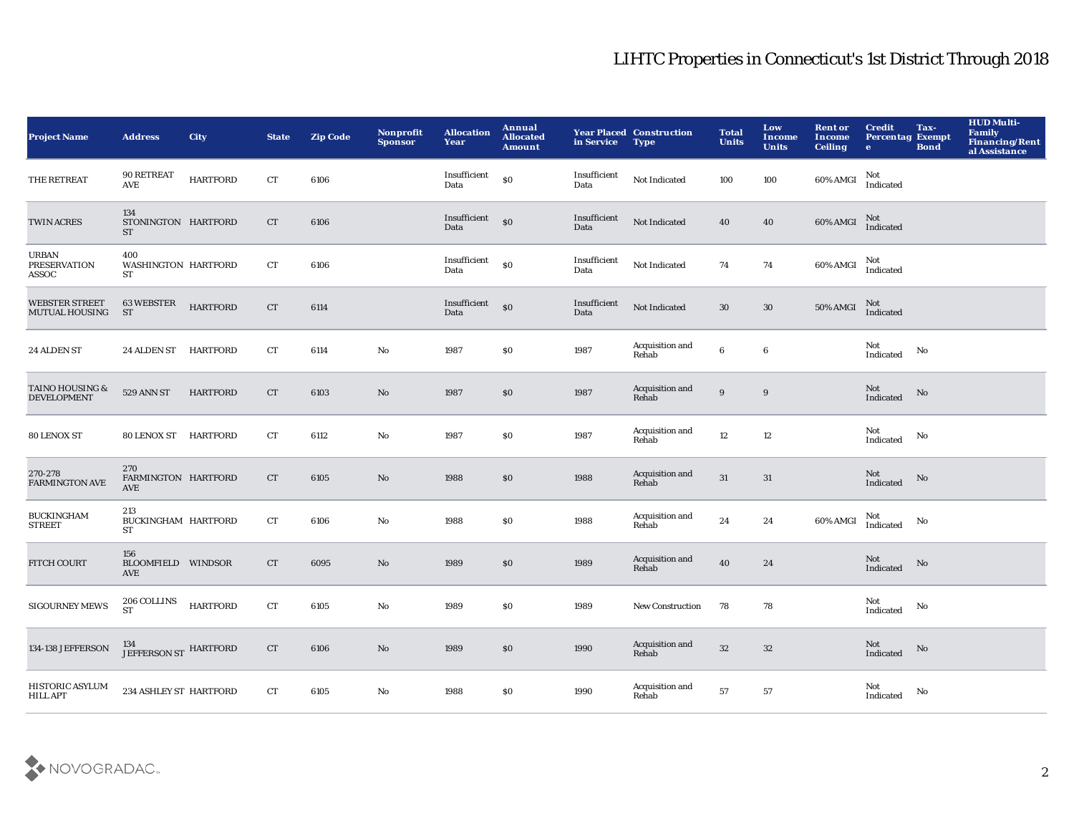| <b>Project Name</b>                              | <b>Address</b>                              | <b>City</b>     | <b>State</b> | <b>Zip Code</b> | Nonprofit<br><b>Sponsor</b> | <b>Allocation</b><br>Year          | Annual<br><b>Allocated</b><br><b>Amount</b>      | in Service           | <b>Year Placed Construction</b><br><b>Type</b> | <b>Total</b><br><b>Units</b> | Low<br><b>Income</b><br><b>Units</b> | <b>Rent or</b><br><b>Income</b><br><b>Ceiling</b> | <b>Credit</b><br><b>Percentag Exempt</b><br>$\bullet$ | Tax-<br><b>Bond</b>    | <b>HUD Multi-</b><br>Family<br>Financing/Rent<br>al Assistance |
|--------------------------------------------------|---------------------------------------------|-----------------|--------------|-----------------|-----------------------------|------------------------------------|--------------------------------------------------|----------------------|------------------------------------------------|------------------------------|--------------------------------------|---------------------------------------------------|-------------------------------------------------------|------------------------|----------------------------------------------------------------|
| THE RETREAT                                      | 90 RETREAT<br>$\operatorname{\mathsf{AVE}}$ | <b>HARTFORD</b> | CT           | 6106            |                             | Insufficient<br>Data               | $\boldsymbol{\mathsf{S}}\boldsymbol{\mathsf{O}}$ | Insufficient<br>Data | Not Indicated                                  | 100                          | 100                                  | 60% AMGI                                          | Not<br>Indicated                                      |                        |                                                                |
| <b>TWIN ACRES</b>                                | 134<br>STONINGTON HARTFORD<br><b>ST</b>     |                 | ${\rm CT}$   | 6106            |                             | Insufficient <sub>SO</sub><br>Data |                                                  | Insufficient<br>Data | Not Indicated                                  | 40                           | 40                                   | 60% AMGI                                          | Not<br>Indicated                                      |                        |                                                                |
| <b>URBAN</b><br>PRESERVATION<br>ASSOC            | 400<br>WASHINGTON HARTFORD<br>ST            |                 | CT           | 6106            |                             | Insufficient<br>Data               | \$0                                              | Insufficient<br>Data | Not Indicated                                  | 74                           | 74                                   | $60\%$ AMGI                                       | Not<br>Indicated                                      |                        |                                                                |
| <b>WEBSTER STREET</b><br><b>MUTUAL HOUSING</b>   | <b>63 WEBSTER</b><br><b>ST</b>              | <b>HARTFORD</b> | CT           | 6114            |                             | Insufficient<br>Data               | $\boldsymbol{\mathsf{S}}\boldsymbol{\mathsf{O}}$ | Insufficient<br>Data | Not Indicated                                  | $30\,$                       | $30\,$                               | <b>50% AMGI</b>                                   | Not<br>Indicated                                      |                        |                                                                |
| 24 ALDEN ST                                      | 24 ALDEN ST HARTFORD                        |                 | <b>CT</b>    | 6114            | No                          | 1987                               | \$0                                              | 1987                 | Acquisition and<br>Rehab                       | 6                            | $\boldsymbol{6}$                     |                                                   | Not<br>Indicated                                      | No                     |                                                                |
| <b>TAINO HOUSING &amp;</b><br><b>DEVELOPMENT</b> | 529 ANN ST                                  | <b>HARTFORD</b> | <b>CT</b>    | 6103            | No                          | 1987                               | \$0                                              | 1987                 | Acquisition and<br>Rehab                       | 9                            | 9                                    |                                                   | Not<br>Indicated                                      | $\mathbf{N}\mathbf{o}$ |                                                                |
| 80 LENOX ST                                      | 80 LENOX ST                                 | HARTFORD        | CT           | 6112            | No                          | 1987                               | \$0                                              | 1987                 | Acquisition and<br>Rehab                       | $12\,$                       | 12                                   |                                                   | Not<br>Indicated                                      | No                     |                                                                |
| 270-278<br><b>FARMINGTON AVE</b>                 | 270<br>FARMINGTON HARTFORD<br>AVE           |                 | <b>CT</b>    | 6105            | No                          | 1988                               | \$0                                              | 1988                 | Acquisition and<br>Rehab                       | $31\,$                       | 31                                   |                                                   | Not<br>Indicated                                      | No                     |                                                                |
| <b>BUCKINGHAM</b><br><b>STREET</b>               | 213<br>BUCKINGHAM HARTFORD<br>ST            |                 | CT           | 6106            | No                          | 1988                               | \$0                                              | 1988                 | Acquisition and<br>Rehab                       | 24                           | 24                                   | 60% AMGI                                          | Not<br>Indicated                                      | No                     |                                                                |
| <b>FITCH COURT</b>                               | 156<br><b>BLOOMFIELD WINDSOR</b><br>AVE     |                 | CT           | 6095            | No                          | 1989                               | \$0                                              | 1989                 | Acquisition and<br>Rehab                       | 40                           | 24                                   |                                                   | Not<br>$\operatorname{Indicated}$                     | No                     |                                                                |
| <b>SIGOURNEY MEWS</b>                            | 206 COLLINS<br><b>ST</b>                    | <b>HARTFORD</b> | CT           | 6105            | No                          | 1989                               | \$0                                              | 1989                 | <b>New Construction</b>                        | 78                           | 78                                   |                                                   | Not<br>Indicated                                      | No                     |                                                                |
| 134-138 JEFFERSON                                | $^{134}_{\rm JEFFERSON\,ST}$ HARTFORD       |                 | CT           | 6106            | No                          | 1989                               | $\$0$                                            | 1990                 | Acquisition and<br>Rehab                       | 32                           | $32\,$                               |                                                   | Not<br>Indicated                                      | No                     |                                                                |
| HISTORIC ASYLUM<br><b>HILL APT</b>               | 234 ASHLEY ST HARTFORD                      |                 | CT           | 6105            | No                          | 1988                               | \$0                                              | 1990                 | Acquisition and<br>Rehab                       | 57                           | 57                                   |                                                   | Not<br>Indicated                                      | No                     |                                                                |

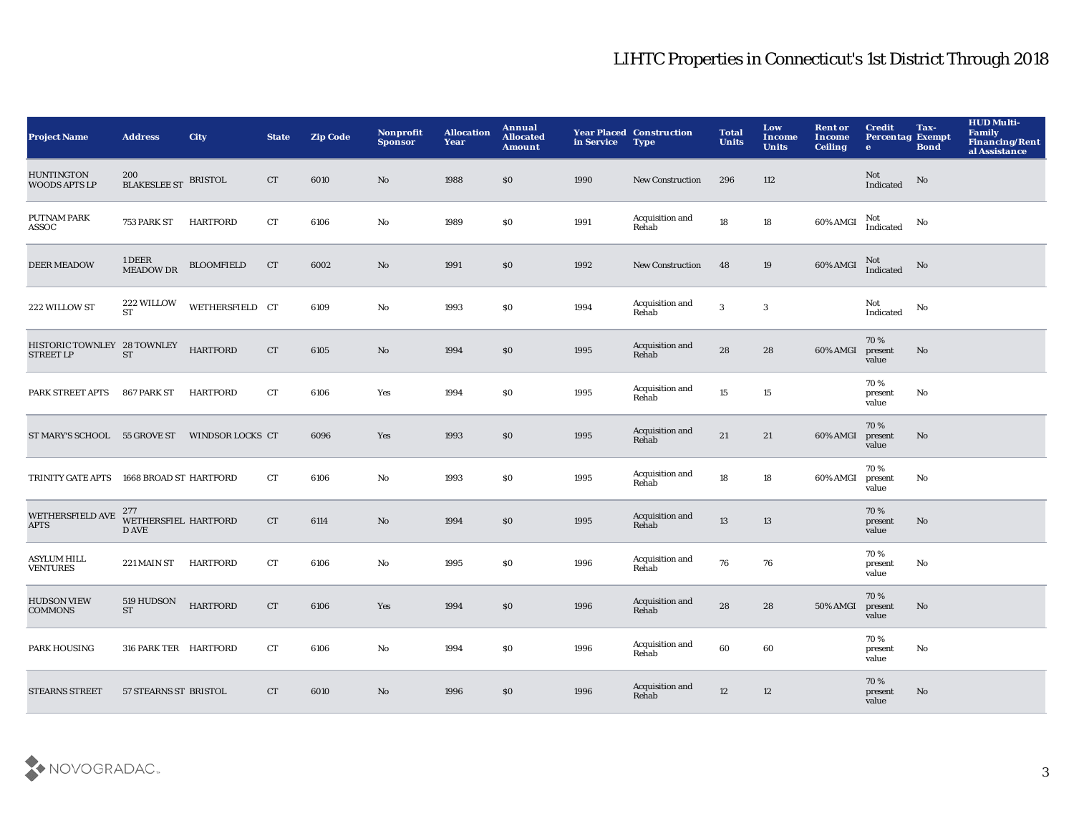| <b>Project Name</b>                       | <b>Address</b>                       | <b>City</b>       | <b>State</b>       | <b>Zip Code</b> | Nonprofit<br><b>Sponsor</b> | <b>Allocation</b><br>Year | Annual<br><b>Allocated</b><br><b>Amount</b> | in Service | <b>Year Placed Construction</b><br><b>Type</b> | <b>Total</b><br><b>Units</b> | Low<br><b>Income</b><br><b>Units</b> | <b>Rent or</b><br>Income<br><b>Ceiling</b> | <b>Credit</b><br><b>Percentag Exempt</b><br>$\bullet$ | Tax-<br><b>Bond</b>    | <b>HUD Multi-</b><br><b>Family</b><br>Financing/Rent<br>al Assistance |
|-------------------------------------------|--------------------------------------|-------------------|--------------------|-----------------|-----------------------------|---------------------------|---------------------------------------------|------------|------------------------------------------------|------------------------------|--------------------------------------|--------------------------------------------|-------------------------------------------------------|------------------------|-----------------------------------------------------------------------|
| <b>HUNTINGTON</b><br><b>WOODS APTS LP</b> | 200<br><b>BLAKESLEE ST BRISTOL</b>   |                   | CT                 | 6010            | $\mathbf{N}\mathbf{o}$      | 1988                      | \$0                                         | 1990       | <b>New Construction</b>                        | 296                          | 112                                  |                                            | Not<br>Indicated                                      | $\mathbf{N}\mathbf{o}$ |                                                                       |
| <b>PUTNAM PARK</b><br>ASSOC               | 753 PARK ST                          | <b>HARTFORD</b>   | ${\rm CT}$         | 6106            | $\mathbf {No}$              | 1989                      | \$0                                         | 1991       | Acquisition and<br>Rehab                       | 18                           | 18                                   | 60% AMGI                                   | Not<br>Indicated                                      | No                     |                                                                       |
| <b>DEER MEADOW</b>                        | 1 DEER<br>MEADOW DR                  | <b>BLOOMFIELD</b> | CT                 | 6002            | $\mathbf{N}\mathbf{o}$      | 1991                      | \$0                                         | 1992       | <b>New Construction</b>                        | 48                           | $19\,$                               | $60\%$ AMGI                                | Not<br>Indicated                                      | No                     |                                                                       |
| 222 WILLOW ST                             | 222 WILLOW<br><b>ST</b>              | WETHERSFIELD CT   |                    | 6109            | $\mathbf{No}$               | 1993                      | \$0                                         | 1994       | Acquisition and<br>Rehab                       | $\mathbf 3$                  | $\boldsymbol{\mathsf{3}}$            |                                            | Not<br>Indicated                                      | No                     |                                                                       |
| HISTORIC TOWNLEY 28 TOWNLEY STREET LP ST  |                                      | <b>HARTFORD</b>   | ${\cal C}{\cal T}$ | 6105            | No                          | 1994                      | \$0                                         | 1995       | Acquisition and<br>Rehab                       | 28                           | 28                                   | 60% AMGI                                   | 70%<br>present<br>value                               | No                     |                                                                       |
| PARK STREET APTS                          | 867 PARK ST                          | <b>HARTFORD</b>   | CT                 | 6106            | Yes                         | 1994                      | \$0                                         | 1995       | Acquisition and<br>Rehab                       | 15                           | 15                                   |                                            | 70%<br>present<br>value                               | No                     |                                                                       |
| ST MARY'S SCHOOL 55 GROVE ST              |                                      | WINDSOR LOCKS CT  |                    | 6096            | Yes                         | 1993                      | \$0                                         | 1995       | Acquisition and<br>Rehab                       | 21                           | 21                                   | 60% AMGI                                   | 70%<br>present<br>value                               | No                     |                                                                       |
| TRINITY GATE APTS                         | 1668 BROAD ST HARTFORD               |                   | CT                 | 6106            | No                          | 1993                      | \$0                                         | 1995       | Acquisition and<br>Rehab                       | 18                           | 18                                   | 60% AMGI                                   | 70%<br>present<br>value                               | $\mathbf{No}$          |                                                                       |
| <b>WETHERSFIELD AVE</b><br><b>APTS</b>    | 277<br>WETHERSFIEL HARTFORD<br>D AVE |                   | ${\cal C}{\cal T}$ | 6114            | $\mathbf{N}\mathbf{o}$      | 1994                      | \$0                                         | 1995       | Acquisition and<br>Rehab                       | 13                           | 13                                   |                                            | 70%<br>present<br>value                               | $\mathbf{No}$          |                                                                       |
| <b>ASYLUM HILL</b><br><b>VENTURES</b>     | 221 MAIN ST                          | <b>HARTFORD</b>   | ${\rm CT}$         | 6106            | $\mathbf{No}$               | 1995                      | \$0                                         | 1996       | Acquisition and<br>Rehab                       | 76                           | 76                                   |                                            | 70%<br>present<br>value                               | No                     |                                                                       |
| <b>HUDSON VIEW</b><br><b>COMMONS</b>      | 519 HUDSON<br><b>ST</b>              | <b>HARTFORD</b>   | CT                 | 6106            | Yes                         | 1994                      | \$0                                         | 1996       | Acquisition and<br>Rehab                       | ${\bf 28}$                   | 28                                   | <b>50% AMGI</b>                            | 70%<br>present<br>value                               | No                     |                                                                       |
| PARK HOUSING                              | 316 PARK TER HARTFORD                |                   | CT                 | 6106            | No                          | 1994                      | \$0                                         | 1996       | Acquisition and<br>Rehab                       | 60                           | 60                                   |                                            | 70%<br>present<br>value                               | No                     |                                                                       |
| <b>STEARNS STREET</b>                     | 57 STEARNS ST BRISTOL                |                   | CT                 | 6010            | No                          | 1996                      | \$0                                         | 1996       | Acquisition and<br>Rehab                       | 12                           | 12                                   |                                            | 70%<br>present<br>value                               | No                     |                                                                       |

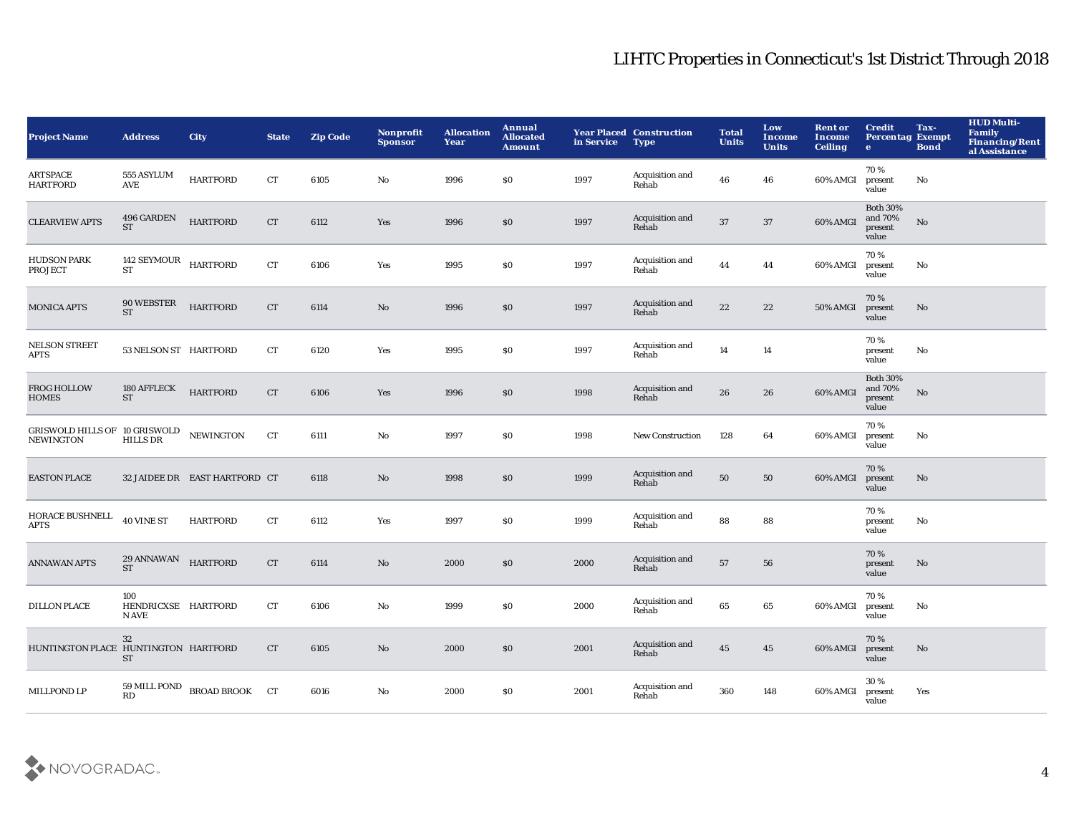| <b>Project Name</b>                               | <b>Address</b>                      | <b>City</b>                   | <b>State</b>       | <b>Zip Code</b> | Nonprofit<br><b>Sponsor</b> | <b>Allocation</b><br>Year | Annual<br><b>Allocated</b><br><b>Amount</b> | in Service | <b>Year Placed Construction</b><br>Type | <b>Total</b><br><b>Units</b> | Low<br><b>Income</b><br><b>Units</b> | <b>Rent or</b><br><b>Income</b><br><b>Ceiling</b> | <b>Credit</b><br><b>Percentag Exempt</b><br>$\bullet$ | Tax-<br><b>Bond</b>    | <b>HUD Multi-</b><br>Family<br><b>Financing/Rent</b><br>al Assistance |
|---------------------------------------------------|-------------------------------------|-------------------------------|--------------------|-----------------|-----------------------------|---------------------------|---------------------------------------------|------------|-----------------------------------------|------------------------------|--------------------------------------|---------------------------------------------------|-------------------------------------------------------|------------------------|-----------------------------------------------------------------------|
| <b>ARTSPACE</b><br><b>HARTFORD</b>                | 555 ASYLUM<br>AVE                   | <b>HARTFORD</b>               | CT                 | 6105            | No                          | 1996                      | \$0\$                                       | 1997       | Acquisition and<br>Rehab                | 46                           | 46                                   | 60% AMGI                                          | 70%<br>present<br>value                               | No                     |                                                                       |
| <b>CLEARVIEW APTS</b>                             | 496 GARDEN<br><b>ST</b>             | <b>HARTFORD</b>               | CT                 | 6112            | Yes                         | 1996                      | \$0                                         | 1997       | Acquisition and<br>Rehab                | 37                           | 37                                   | 60% AMGI                                          | <b>Both 30%</b><br>and 70%<br>present<br>value        | $\mathbf{N}\mathbf{o}$ |                                                                       |
| <b>HUDSON PARK</b><br><b>PROJECT</b>              | 142 SEYMOUR HARTFORD<br><b>ST</b>   |                               | ${\cal C}{\cal T}$ | 6106            | Yes                         | 1995                      | \$0                                         | 1997       | Acquisition and<br>Rehab                | 44                           | 44                                   | 60% AMGI                                          | 70%<br>present<br>value                               | No                     |                                                                       |
| <b>MONICA APTS</b>                                | 90 WEBSTER<br><b>ST</b>             | <b>HARTFORD</b>               | CT                 | 6114            | $\mathbf{No}$               | 1996                      | $\$0$                                       | 1997       | Acquisition and<br>Rehab                | $\bf{22}$                    | 22                                   | <b>50% AMGI</b>                                   | 70%<br>present<br>value                               | No                     |                                                                       |
| <b>NELSON STREET</b><br><b>APTS</b>               | 53 NELSON ST HARTFORD               |                               | CT                 | 6120            | Yes                         | 1995                      | \$0\$                                       | 1997       | Acquisition and<br>Rehab                | 14                           | 14                                   |                                                   | 70%<br>present<br>value                               | No                     |                                                                       |
| <b>FROG HOLLOW</b><br><b>HOMES</b>                | 180 AFFLECK<br><b>ST</b>            | <b>HARTFORD</b>               | CT                 | 6106            | Yes                         | 1996                      | \$0                                         | 1998       | Acquisition and<br>Rehab                | 26                           | 26                                   | 60% AMGI                                          | <b>Both 30%</b><br>and 70%<br>present<br>value        | $\mathbf{N}\mathbf{o}$ |                                                                       |
| GRISWOLD HILLS OF 10 GRISWOLD<br><b>NEWINGTON</b> | <b>HILLS DR</b>                     | <b>NEWINGTON</b>              | CT                 | 6111            | No                          | 1997                      | \$0                                         | 1998       | <b>New Construction</b>                 | 128                          | 64                                   | 60% AMGI                                          | 70%<br>present<br>value                               | No                     |                                                                       |
| <b>EASTON PLACE</b>                               |                                     | 32 JAIDEE DR EAST HARTFORD CT |                    | 6118            | No                          | 1998                      | $\$0$                                       | 1999       | Acquisition and<br>Rehab                | ${\bf 50}$                   | 50                                   | 60% AMGI                                          | 70%<br>present<br>value                               | No                     |                                                                       |
| HORACE BUSHNELL<br><b>APTS</b>                    | 40 VINE ST                          | <b>HARTFORD</b>               | CT                 | 6112            | Yes                         | 1997                      | $\$0$                                       | 1999       | Acquisition and<br>Rehab                | 88                           | 88                                   |                                                   | 70%<br>present<br>value                               | No                     |                                                                       |
| <b>ANNAWAN APTS</b>                               | 29 ANNAWAN HARTFORD<br><b>ST</b>    |                               | CT                 | 6114            | $\mathbf{No}$               | 2000                      | \$0                                         | 2000       | Acquisition and<br>Rehab                | ${\bf 57}$                   | 56                                   |                                                   | 70%<br>present<br>value                               | $\mathbf{N}\mathbf{o}$ |                                                                       |
| <b>DILLON PLACE</b>                               | 100<br>HENDRICXSE HARTFORD<br>N AVE |                               | CT                 | 6106            | No                          | 1999                      | \$0\$                                       | 2000       | Acquisition and<br>Rehab                | 65                           | 65                                   | 60% AMGI                                          | 70%<br>present<br>value                               | No                     |                                                                       |
| HUNTINGTON PLACE HUNTINGTON HARTFORD              | 32<br>ST                            |                               | CT                 | 6105            | No                          | 2000                      | \$0\$                                       | 2001       | Acquisition and<br>Rehab                | 45                           | 45                                   | 60% AMGI                                          | 70%<br>present<br>value                               | $\mathbf{N}\mathbf{o}$ |                                                                       |
| MILLPOND LP                                       | 59 MILL POND<br><b>RD</b>           | <b>BROAD BROOK CT</b>         |                    | 6016            | No                          | 2000                      | \$0                                         | 2001       | Acquisition and<br>Rehab                | 360                          | 148                                  | 60% AMGI                                          | 30%<br>present<br>value                               | Yes                    |                                                                       |

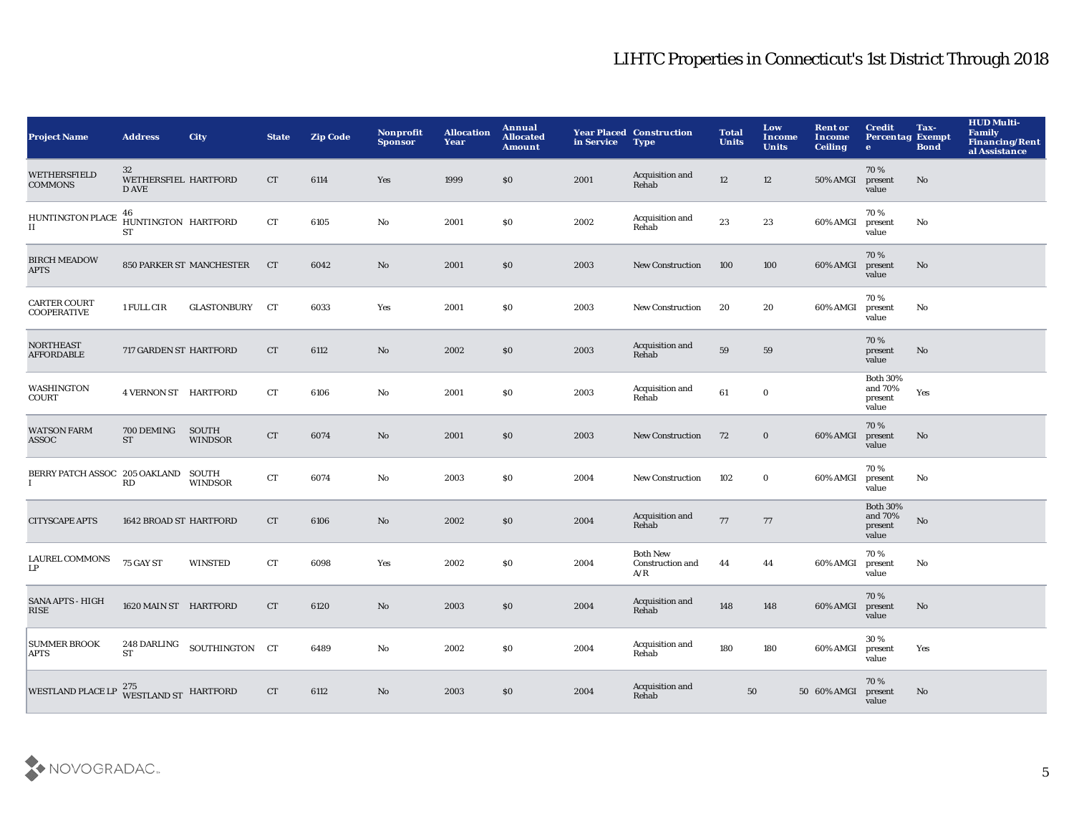| <b>Project Name</b>                       | <b>Address</b>                      | <b>City</b>                     | <b>State</b> | <b>Zip Code</b> | <b>Nonprofit</b><br><b>Sponsor</b> | <b>Allocation</b><br>Year | Annual<br><b>Allocated</b><br><b>Amount</b> | in Service | <b>Year Placed Construction</b><br><b>Type</b> | <b>Total</b><br><b>Units</b> | Low<br><b>Income</b><br><b>Units</b> | <b>Rent or</b><br><b>Income</b><br><b>Ceiling</b> | <b>Credit</b><br><b>Percentag Exempt</b><br>$\bullet$ | Tax-<br><b>Bond</b>    | <b>HUD Multi-</b><br>Family<br><b>Financing/Rent</b><br>al Assistance |
|-------------------------------------------|-------------------------------------|---------------------------------|--------------|-----------------|------------------------------------|---------------------------|---------------------------------------------|------------|------------------------------------------------|------------------------------|--------------------------------------|---------------------------------------------------|-------------------------------------------------------|------------------------|-----------------------------------------------------------------------|
| WETHERSFIELD<br><b>COMMONS</b>            | 32<br>WETHERSFIEL HARTFORD<br>D AVE |                                 | CT.          | 6114            | Yes                                | 1999                      | \$0                                         | 2001       | Acquisition and<br>Rehab                       | 12                           | 12                                   | <b>50% AMGI</b>                                   | 70%<br>present<br>value                               | No                     |                                                                       |
| <b>HUNTINGTON PLACE</b><br>II             | 46<br>HUNTINGTON HARTFORD<br>ST     |                                 | CT           | 6105            | No                                 | 2001                      | \$0                                         | 2002       | Acquisition and<br>Rehab                       | 23                           | 23                                   | 60% AMGI                                          | 70%<br>present<br>value                               | No                     |                                                                       |
| <b>BIRCH MEADOW</b><br><b>APTS</b>        |                                     | <b>850 PARKER ST MANCHESTER</b> | <b>CT</b>    | 6042            | No                                 | 2001                      | $\$0$                                       | 2003       | <b>New Construction</b>                        | 100                          | 100                                  | 60% AMGI                                          | 70%<br>present<br>value                               | $\mathbf{N}\mathbf{o}$ |                                                                       |
| <b>CARTER COURT</b><br><b>COOPERATIVE</b> | 1 FULL CIR                          | <b>GLASTONBURY</b>              | CT           | 6033            | Yes                                | 2001                      | \$0                                         | 2003       | New Construction                               | 20                           | 20                                   | 60% AMGI                                          | 70%<br>present<br>value                               | No                     |                                                                       |
| <b>NORTHEAST</b><br><b>AFFORDABLE</b>     | 717 GARDEN ST HARTFORD              |                                 | CT           | 6112            | No                                 | 2002                      | \$0                                         | 2003       | Acquisition and<br>Rehab                       | 59                           | 59                                   |                                                   | 70%<br>present<br>value                               | No                     |                                                                       |
| WASHINGTON<br>COURT                       | <b>4 VERNON ST HARTFORD</b>         |                                 | CT           | 6106            | No                                 | 2001                      | \$0                                         | 2003       | Acquisition and<br>Rehab                       | 61                           | $\bf{0}$                             |                                                   | <b>Both 30%</b><br>and 70%<br>present<br>value        | Yes                    |                                                                       |
| <b>WATSON FARM</b><br>ASSOC               | 700 DEMING<br>ST                    | SOUTH<br><b>WINDSOR</b>         | CT           | 6074            | No                                 | 2001                      | $\$0$                                       | 2003       | <b>New Construction</b>                        | 72                           | $\bf{0}$                             | 60% AMGI                                          | 70%<br>present<br>value                               | $\mathbf{N}\mathbf{o}$ |                                                                       |
| BERRY PATCH ASSOC 205 OAKLAND<br>1        | RD                                  | SOUTH<br><b>WINDSOR</b>         | CT           | 6074            | No                                 | 2003                      | \$0                                         | 2004       | New Construction                               | 102                          | $\bf{0}$                             | 60% AMGI                                          | 70%<br>present<br>value                               | No                     |                                                                       |
| <b>CITYSCAPE APTS</b>                     | 1642 BROAD ST HARTFORD              |                                 | CT           | 6106            | No                                 | 2002                      | $\$0$                                       | 2004       | Acquisition and<br>Rehab                       | 77                           | 77                                   |                                                   | <b>Both 30%</b><br>and 70%<br>present<br>value        | $\mathbf{No}$          |                                                                       |
| <b>LAUREL COMMONS</b><br>LP               | 75 GAY ST                           | <b>WINSTED</b>                  | ${\rm CT}$   | 6098            | Yes                                | 2002                      | $\$0$                                       | 2004       | <b>Both New</b><br>Construction and<br>A/R     | 44                           | 44                                   | 60% AMGI                                          | 70%<br>present<br>value                               | No                     |                                                                       |
| <b>SANA APTS - HIGH</b><br>RISE           | 1620 MAIN ST HARTFORD               |                                 | <b>CT</b>    | 6120            | No.                                | 2003                      | \$0                                         | 2004       | Acquisition and<br>Rehab                       | 148                          | 148                                  | 60% AMGI                                          | 70%<br>present<br>value                               | No.                    |                                                                       |
| <b>SUMMER BROOK</b><br>APTS               | 248 DARLING<br><b>ST</b>            | SOUTHINGTON CT                  |              | 6489            | No                                 | 2002                      | \$0                                         | 2004       | Acquisition and<br>Rehab                       | 180                          | 180                                  | 60% AMGI                                          | 30%<br>present<br>value                               | Yes                    |                                                                       |
| <b>WESTLAND PLACE LP</b>                  | 275<br>WESTLAND ST HARTFORD         |                                 | <b>CT</b>    | 6112            | No                                 | 2003                      | \$0                                         | 2004       | Acquisition and<br>Rehab                       | 50                           |                                      | 50 60% AMGI                                       | 70%<br>present<br>value                               | No.                    |                                                                       |

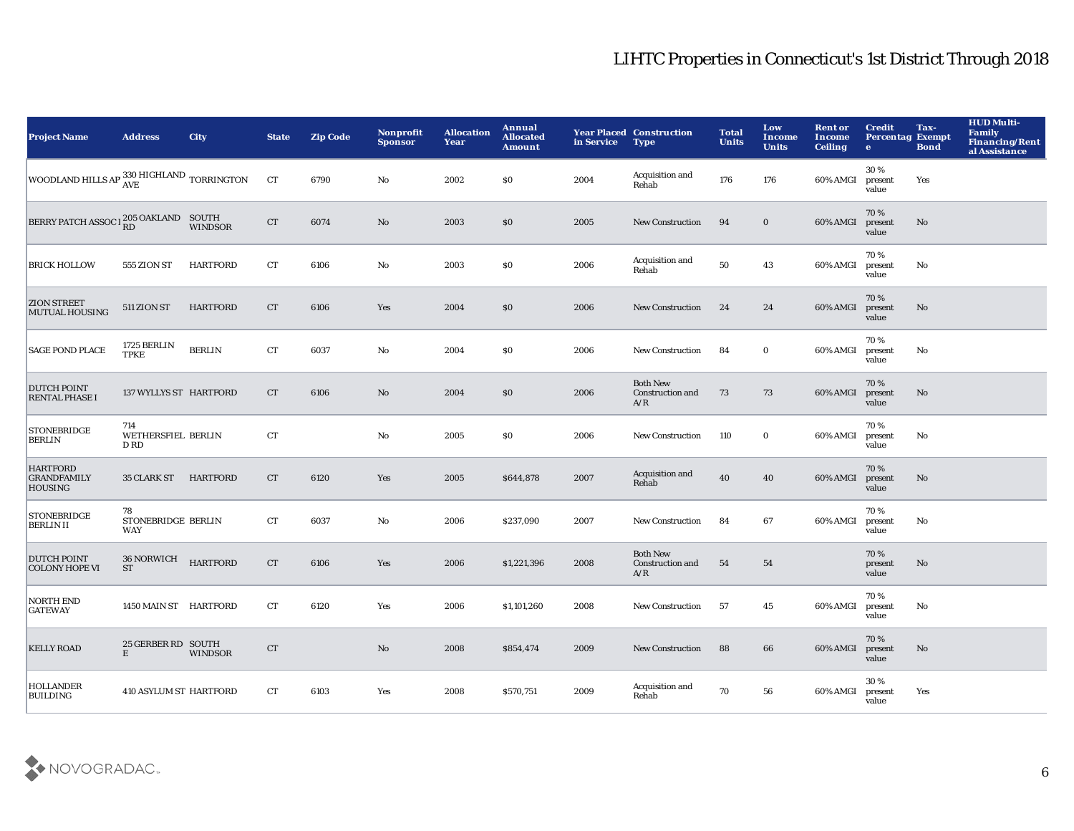| <b>Project Name</b>                                     | <b>Address</b>                    | <b>City</b>     | <b>State</b> | <b>Zip Code</b> | <b>Nonprofit</b><br><b>Sponsor</b> | <b>Allocation</b><br>Year | Annual<br><b>Allocated</b><br><b>Amount</b> | in Service | <b>Year Placed Construction</b><br><b>Type</b> | <b>Total</b><br><b>Units</b> | Low<br>Income<br><b>Units</b> | <b>Rent or</b><br>Income<br><b>Ceiling</b> | <b>Credit</b><br><b>Percentag Exempt</b><br>$\bullet$ | Tax-<br><b>Bond</b>    | <b>HUD Multi-</b><br><b>Family</b><br>Financing/Rent<br>al Assistance |
|---------------------------------------------------------|-----------------------------------|-----------------|--------------|-----------------|------------------------------------|---------------------------|---------------------------------------------|------------|------------------------------------------------|------------------------------|-------------------------------|--------------------------------------------|-------------------------------------------------------|------------------------|-----------------------------------------------------------------------|
| WOODLAND HILLS AP 330 HIGHLAND TORRINGTON               |                                   |                 | CT           | 6790            | No                                 | 2002                      | \$0                                         | 2004       | Acquisition and<br>Rehab                       | 176                          | 176                           | 60% AMGI                                   | 30%<br>present<br>value                               | Yes                    |                                                                       |
| BERRY PATCH ASSOC 1 <sup>205</sup> OAKLAND SOUTH        |                                   | <b>WINDSOR</b>  | CT           | 6074            | $\mathbf{No}$                      | 2003                      | \$0                                         | 2005       | <b>New Construction</b>                        | 94                           | $\mathbf 0$                   | 60% AMGI                                   | 70%<br>present<br>value                               | No                     |                                                                       |
| <b>BRICK HOLLOW</b>                                     | 555 ZION ST                       | <b>HARTFORD</b> | CT           | 6106            | No                                 | 2003                      | $\$0$                                       | 2006       | Acquisition and<br>Rehab                       | 50                           | 43                            | 60% AMGI                                   | 70%<br>present<br>value                               | No                     |                                                                       |
| <b>ZION STREET</b><br><b>MUTUAL HOUSING</b>             | 511 ZION ST                       | <b>HARTFORD</b> | CT           | 6106            | Yes                                | 2004                      | \$0                                         | 2006       | New Construction                               | 24                           | 24                            | 60% AMGI                                   | 70%<br>present<br>value                               | No                     |                                                                       |
| <b>SAGE POND PLACE</b>                                  | 1725 BERLIN<br><b>TPKE</b>        | <b>BERLIN</b>   | CT           | 6037            | No                                 | 2004                      | \$0                                         | 2006       | New Construction                               | 84                           | $\mathbf 0$                   | 60% AMGI                                   | 70%<br>present<br>value                               | No                     |                                                                       |
| <b>DUTCH POINT</b><br><b>RENTAL PHASE I</b>             | 137 WYLLYS ST HARTFORD            |                 | CT           | 6106            | No                                 | 2004                      | \$0                                         | 2006       | <b>Both New</b><br>Construction and<br>A/R     | 73                           | 73                            | 60% AMGI                                   | 70%<br>present<br>value                               | $\mathbf{N}\mathbf{o}$ |                                                                       |
| <b>STONEBRIDGE</b><br><b>BERLIN</b>                     | 714<br>WETHERSFIEL BERLIN<br>D RD |                 | CT           |                 | $\mathbf{No}$                      | 2005                      | \$0                                         | 2006       | New Construction                               | 110                          | $\mathbf 0$                   | 60% AMGI                                   | 70%<br>present<br>value                               | No                     |                                                                       |
| <b>HARTFORD</b><br><b>GRANDFAMILY</b><br><b>HOUSING</b> | 35 CLARK ST HARTFORD              |                 | CT           | 6120            | Yes                                | 2005                      | \$644,878                                   | 2007       | Acquisition and<br>Rehab                       | 40                           | 40                            | 60% AMGI                                   | 70%<br>present<br>value                               | No                     |                                                                       |
| <b>STONEBRIDGE</b><br><b>BERLINII</b>                   | 78<br>STONEBRIDGE BERLIN<br>WAY   |                 | CT           | 6037            | No                                 | 2006                      | \$237,090                                   | 2007       | New Construction                               | 84                           | 67                            | 60% AMGI                                   | 70%<br>present<br>value                               | No                     |                                                                       |
| <b>DUTCH POINT</b><br><b>COLONY HOPE VI</b>             | 36 NORWICH<br><b>ST</b>           | <b>HARTFORD</b> | CT           | 6106            | Yes                                | 2006                      | \$1,221,396                                 | 2008       | <b>Both New</b><br>Construction and<br>A/R     | 54                           | 54                            |                                            | 70%<br>present<br>value                               | $\mathbf{N}\mathbf{o}$ |                                                                       |
| <b>NORTH END</b><br><b>GATEWAY</b>                      | 1450 MAIN ST HARTFORD             |                 | CT           | 6120            | Yes                                | 2006                      | \$1,101,260                                 | 2008       | <b>New Construction</b>                        | 57                           | 45                            | 60% AMGI                                   | 70%<br>present<br>value                               | No                     |                                                                       |
| <b>KELLY ROAD</b>                                       | 25 GERBER RD SOUTH<br>E           | <b>WINDSOR</b>  | CT           |                 | No                                 | 2008                      | \$854,474                                   | 2009       | <b>New Construction</b>                        | 88                           | 66                            | 60% AMGI                                   | 70%<br>present<br>value                               | No                     |                                                                       |
| <b>HOLLANDER</b><br><b>BUILDING</b>                     | <b>410 ASYLUM ST HARTFORD</b>     |                 | CT           | 6103            | Yes                                | 2008                      | \$570,751                                   | 2009       | Acquisition and<br>Rehab                       | 70                           | 56                            | 60% AMGI                                   | 30%<br>present<br>value                               | Yes                    |                                                                       |

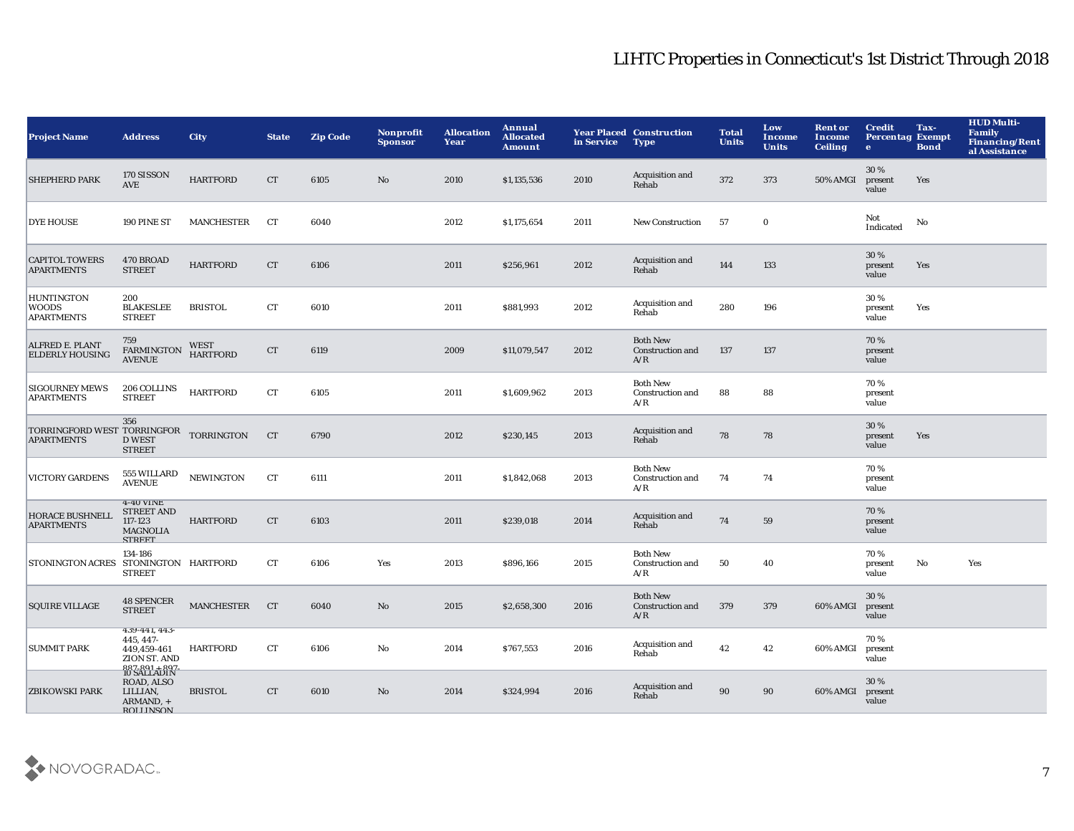| <b>Project Name</b>                                         | <b>Address</b>                                                                          | <b>City</b>                    | <b>State</b> | <b>Zip Code</b> | Nonprofit<br><b>Sponsor</b> | <b>Allocation</b><br>Year | Annual<br><b>Allocated</b><br><b>Amount</b> | in Service | <b>Year Placed Construction</b><br><b>Type</b> | <b>Total</b><br><b>Units</b> | Low<br>Income<br><b>Units</b> | <b>Rent or</b><br>Income<br><b>Ceiling</b> | <b>Credit</b><br><b>Percentag Exempt</b><br>$\bullet$ | Tax-<br><b>Bond</b> | <b>HUD Multi-</b><br>Family<br><b>Financing/Rent</b><br>al Assistance |
|-------------------------------------------------------------|-----------------------------------------------------------------------------------------|--------------------------------|--------------|-----------------|-----------------------------|---------------------------|---------------------------------------------|------------|------------------------------------------------|------------------------------|-------------------------------|--------------------------------------------|-------------------------------------------------------|---------------------|-----------------------------------------------------------------------|
| <b>SHEPHERD PARK</b>                                        | 170 SISSON<br>AVE                                                                       | <b>HARTFORD</b>                | CT           | 6105            | No                          | 2010                      | \$1,135,536                                 | 2010       | Acquisition and<br>Rehab                       | 372                          | 373                           | 50% AMGI                                   | 30%<br>present<br>value                               | Yes                 |                                                                       |
| <b>DYE HOUSE</b>                                            | 190 PINE ST                                                                             | MANCHESTER                     | <b>CT</b>    | 6040            |                             | 2012                      | \$1,175,654                                 | 2011       | <b>New Construction</b>                        | 57                           | $\bf{0}$                      |                                            | Not<br>Indicated                                      | No                  |                                                                       |
| <b>CAPITOL TOWERS</b><br><b>APARTMENTS</b>                  | 470 BROAD<br><b>STREET</b>                                                              | <b>HARTFORD</b>                | <b>CT</b>    | 6106            |                             | 2011                      | \$256,961                                   | 2012       | Acquisition and<br>Rehab                       | 144                          | 133                           |                                            | 30%<br>present<br>value                               | Yes                 |                                                                       |
| <b>HUNTINGTON</b><br><b>WOODS</b><br><b>APARTMENTS</b>      | 200<br><b>BLAKESLEE</b><br><b>STREET</b>                                                | <b>BRISTOL</b>                 | CT           | 6010            |                             | 2011                      | \$881,993                                   | 2012       | Acquisition and<br>Rehab                       | 280                          | 196                           |                                            | 30%<br>present<br>value                               | Yes                 |                                                                       |
| ALFRED E. PLANT<br><b>ELDERLY HOUSING</b>                   | 759<br>FARMINGTON<br><b>AVENUE</b>                                                      | <b>WEST</b><br><b>HARTFORD</b> | CT           | 6119            |                             | 2009                      | \$11,079,547                                | 2012       | <b>Both New</b><br>Construction and<br>A/R     | 137                          | 137                           |                                            | 70%<br>present<br>value                               |                     |                                                                       |
| <b>SIGOURNEY MEWS</b><br><b>APARTMENTS</b>                  | 206 COLLINS<br><b>STREET</b>                                                            | <b>HARTFORD</b>                | CT           | 6105            |                             | 2011                      | \$1,609,962                                 | 2013       | <b>Both New</b><br>Construction and<br>A/R     | 88                           | 88                            |                                            | 70%<br>present<br>value                               |                     |                                                                       |
| TORRINGFORD WEST TORRINGFOR TORRINGTON<br><b>APARTMENTS</b> | 356<br><b>D WEST</b><br><b>STREET</b>                                                   |                                | CT           | 6790            |                             | 2012                      | \$230,145                                   | 2013       | Acquisition and<br>Rehab                       | 78                           | 78                            |                                            | 30%<br>present<br>value                               | Yes                 |                                                                       |
| <b>VICTORY GARDENS</b>                                      | 555 WILLARD<br><b>AVENUE</b>                                                            | <b>NEWINGTON</b>               | CT           | 6111            |                             | 2011                      | \$1,842,068                                 | 2013       | <b>Both New</b><br>Construction and<br>A/R     | 74                           | 74                            |                                            | 70%<br>present<br>value                               |                     |                                                                       |
| <b>HORACE BUSHNELL</b><br><b>APARTMENTS</b>                 | 4-40 VINE<br><b>STREET AND</b><br>117-123<br><b>MAGNOLIA</b><br><b>STREET</b>           | <b>HARTFORD</b>                | CT           | 6103            |                             | 2011                      | \$239,018                                   | 2014       | Acquisition and<br>Rehab                       | 74                           | 59                            |                                            | 70%<br>present<br>value                               |                     |                                                                       |
| <b>STONINGTON ACRES</b>                                     | 134-186<br>STONINGTON HARTFORD<br><b>STREET</b>                                         |                                | CT           | 6106            | Yes                         | 2013                      | \$896,166                                   | 2015       | <b>Both New</b><br>Construction and<br>A/R     | 50                           | 40                            |                                            | 70%<br>present<br>value                               | No                  | Yes                                                                   |
| <b>SQUIRE VILLAGE</b>                                       | <b>48 SPENCER</b><br><b>STREET</b>                                                      | MANCHESTER                     | <b>CT</b>    | 6040            | No                          | 2015                      | \$2,658,300                                 | 2016       | <b>Both New</b><br>Construction and<br>A/R     | 379                          | 379                           | 60% AMGI                                   | 30%<br>present<br>value                               |                     |                                                                       |
| <b>SUMMIT PARK</b>                                          | 439-441, 443-<br>445, 447-<br>449,459-461<br>ZION ST. AND                               | <b>HARTFORD</b>                | CT           | 6106            | $\mathbf{No}$               | 2014                      | \$767,553                                   | 2016       | Acquisition and<br>Rehab                       | 42                           | 42                            | 60% AMGI                                   | 70%<br>present<br>value                               |                     |                                                                       |
| <b>ZBIKOWSKI PARK</b>                                       | 887-891 + 897<br>IU SALLADIN<br>ROAD, ALSO<br>LILLIAN,<br>ARMAND, +<br><b>ROLLINSON</b> | <b>BRISTOL</b>                 | CT           | 6010            | No                          | 2014                      | \$324,994                                   | 2016       | Acquisition and<br>Rehab                       | 90                           | 90                            | 60% AMGI                                   | 30%<br>present<br>value                               |                     |                                                                       |